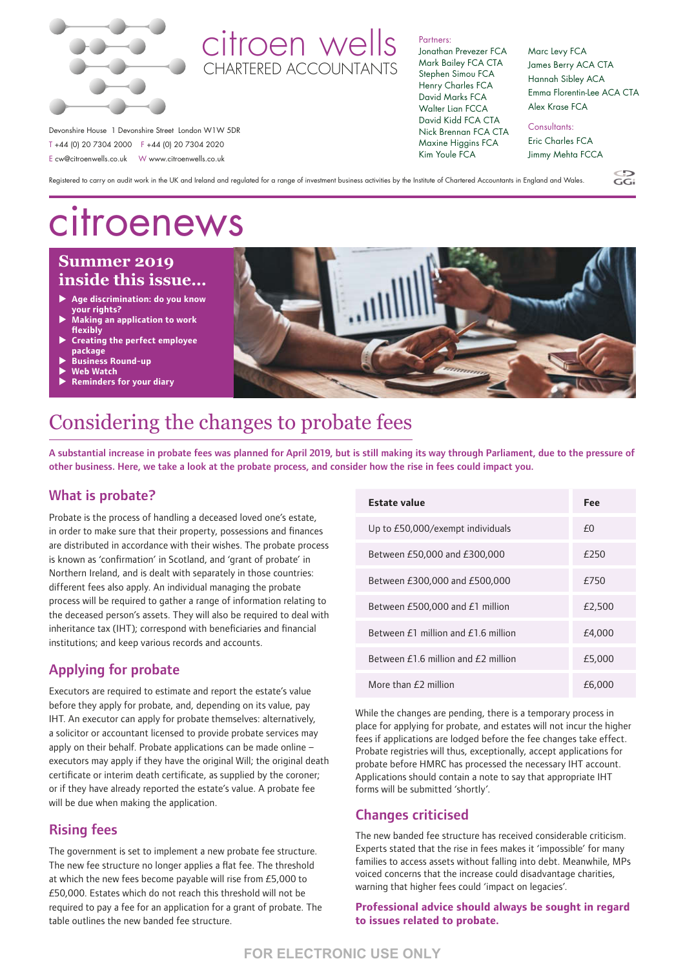

# citroen wells CHARTERED ACCOUNTANTS

#### Partners:

Jonathan Prevezer FCA Mark Bailey FCA CTA Stephen Simou FCA Henry Charles FCA David Marks FCA Walter Lian FCCA David Kidd FCA CTA Nick Brennan FCA CTA Maxine Higgins FCA Kim Youle FCA

Marc Levy FCA James Berry ACA CTA Hannah Sibley ACA Emma Florentin-Lee ACA CTA Alex Krase FCA

 $\overline{G}$ 

### Consultants:

Eric Charles FCA Jimmy Mehta FCCA

Registered to carry on audit work in the UK and Ireland and regulated for a range of investment business activities by the Institute of Chartered Accountants in England and Wales.

# **perfect employee** citroenews

Devonshire House 1 Devonshire Street London W1W 5DR T +44 (0) 20 7304 2000 F +44 (0) 20 7304 2020 E cw@citroenwells.co.uk W www.citroenwells.co.uk

## **Winter 2017/18 May 2019 Summer 2019 inside this issue… inside this issue…**

- ▶ Age discrimination: do you know **your rights?**
- P **Making an application to work flexibly**
- $\blacktriangleright$ **Creating the perfect employee package**
- $\blacktriangleright$ **Business Round-up**
- **Web Watch**
- $\blacktriangleright$ u **Reminders for your diary**



# Considering the changes to probate fees

A substantial increase in probate fees was planned for April 2019, but is still making its way through Parliament, due to the pressure of other business. Here, we take a look at the probate process, and consider how the rise in fees could impact you.

### What is probate?

Probate is the process of handling a deceased loved one's estate, in order to make sure that their property, possessions and finances are distributed in accordance with their wishes. The probate process is known as 'confirmation' in Scotland, and 'grant of probate' in Northern Ireland, and is dealt with separately in those countries: different fees also apply. An individual managing the probate process will be required to gather a range of information relating to the deceased person's assets. They will also be required to deal with inheritance tax (IHT); correspond with beneficiaries and financial institutions; and keep various records and accounts.

## Applying for probate

Executors are required to estimate and report the estate's value before they apply for probate, and, depending on its value, pay IHT. An executor can apply for probate themselves: alternatively, a solicitor or accountant licensed to provide probate services may apply on their behalf. Probate applications can be made online – executors may apply if they have the original Will; the original death certificate or interim death certificate, as supplied by the coroner; or if they have already reported the estate's value. A probate fee will be due when making the application.

## Rising fees

The government is set to implement a new probate fee structure. The new fee structure no longer applies a flat fee. The threshold at which the new fees become payable will rise from £5,000 to £50,000. Estates which do not reach this threshold will not be required to pay a fee for an application for a grant of probate. The table outlines the new banded fee structure.

| Estate value                           | Fee    |
|----------------------------------------|--------|
| Up to £50,000/exempt individuals       | £Ω     |
| Between £50,000 and £300,000           | £250   |
| Between £300,000 and £500,000          | £750   |
| Between £500,000 and £1 million        | £2,500 |
| Between $f1$ million and $f16$ million | £4,000 |
| Between $f16$ million and $f2$ million | £5,000 |
| More than $f$ 2 million                | £6.000 |

While the changes are pending, there is a temporary process in place for applying for probate, and estates will not incur the higher fees if applications are lodged before the fee changes take effect. Probate registries will thus, exceptionally, accept applications for probate before HMRC has processed the necessary IHT account. Applications should contain a note to say that appropriate IHT forms will be submitted 'shortly'.

## Changes criticised

The new banded fee structure has received considerable criticism. Experts stated that the rise in fees makes it 'impossible' for many families to access assets without falling into debt. Meanwhile, MPs voiced concerns that the increase could disadvantage charities, warning that higher fees could 'impact on legacies'.

### **Professional advice should always be sought in regard to issues related to probate.**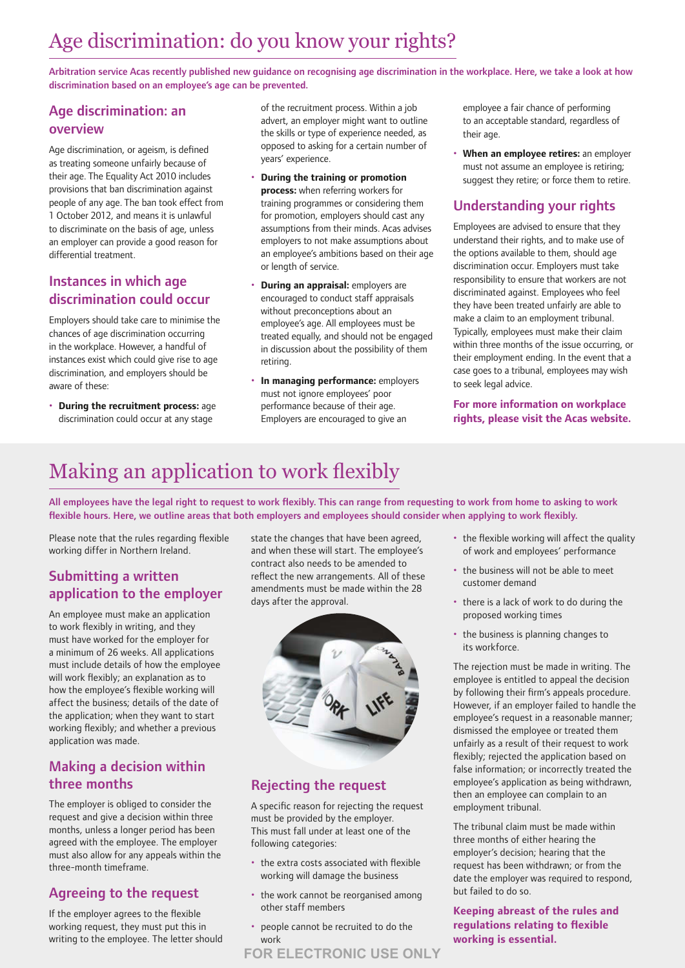# Age discrimination: do you know your rights?

Arbitration service Acas recently published new guidance on recognising age discrimination in the workplace. Here, we take a look at how discrimination based on an employee's age can be prevented.

## Age discrimination: an overview

Age discrimination, or ageism, is defined as treating someone unfairly because of their age. The Equality Act 2010 includes provisions that ban discrimination against people of any age. The ban took effect from 1 October 2012, and means it is unlawful to discriminate on the basis of age, unless an employer can provide a good reason for differential treatment.

### Instances in which age discrimination could occur

Employers should take care to minimise the chances of age discrimination occurring in the workplace. However, a handful of instances exist which could give rise to age discrimination, and employers should be aware of these:

• **During the recruitment process:** age discrimination could occur at any stage

of the recruitment process. Within a job advert, an employer might want to outline the skills or type of experience needed, as opposed to asking for a certain number of years' experience.

- **During the training or promotion process:** when referring workers for training programmes or considering them for promotion, employers should cast any assumptions from their minds. Acas advises employers to not make assumptions about an employee's ambitions based on their age or length of service.
- **During an appraisal:** employers are encouraged to conduct staff appraisals without preconceptions about an employee's age. All employees must be treated equally, and should not be engaged in discussion about the possibility of them retiring.
- **In managing performance:** employers must not ignore employees' poor performance because of their age. Employers are encouraged to give an

employee a fair chance of performing to an acceptable standard, regardless of their age.

• **When an employee retires:** an employer must not assume an employee is retiring; suggest they retire; or force them to retire.

## Understanding your rights

Employees are advised to ensure that they understand their rights, and to make use of the options available to them, should age discrimination occur. Employers must take responsibility to ensure that workers are not discriminated against. Employees who feel they have been treated unfairly are able to make a claim to an employment tribunal. Typically, employees must make their claim within three months of the issue occurring, or their employment ending. In the event that a case goes to a tribunal, employees may wish to seek legal advice.

### **For more information on workplace rights, please visit the Acas website.**

# Making an application to work flexibly

All employees have the legal right to request to work flexibly. This can range from requesting to work from home to asking to work flexible hours. Here, we outline areas that both employers and employees should consider when applying to work flexibly.

Please note that the rules regarding flexible working differ in Northern Ireland.

## Submitting a written application to the employer

An employee must make an application to work flexibly in writing, and they must have worked for the employer for a minimum of 26 weeks. All applications must include details of how the employee will work flexibly; an explanation as to how the employee's flexible working will affect the business; details of the date of the application; when they want to start working flexibly; and whether a previous application was made.

### Making a decision within three months

The employer is obliged to consider the request and give a decision within three months, unless a longer period has been agreed with the employee. The employer must also allow for any appeals within the three-month timeframe.

## Agreeing to the request

If the employer agrees to the flexible working request, they must put this in writing to the employee. The letter should state the changes that have been agreed, and when these will start. The employee's contract also needs to be amended to reflect the new arrangements. All of these amendments must be made within the 28 days after the approval.



# Rejecting the request

A specific reason for rejecting the request must be provided by the employer. This must fall under at least one of the following categories:

- the extra costs associated with flexible working will damage the business
- the work cannot be reorganised among other staff members
- people cannot be recruited to do the work
- the flexible working will affect the quality of work and employees' performance
- the business will not be able to meet customer demand
- there is a lack of work to do during the proposed working times
- the business is planning changes to its workforce.

The rejection must be made in writing. The employee is entitled to appeal the decision by following their firm's appeals procedure. However, if an employer failed to handle the employee's request in a reasonable manner; dismissed the employee or treated them unfairly as a result of their request to work flexibly; rejected the application based on false information; or incorrectly treated the employee's application as being withdrawn, then an employee can complain to an employment tribunal.

The tribunal claim must be made within three months of either hearing the employer's decision; hearing that the request has been withdrawn; or from the date the employer was required to respond, but failed to do so.

### **Keeping abreast of the rules and regulations relating to flexible working is essential.**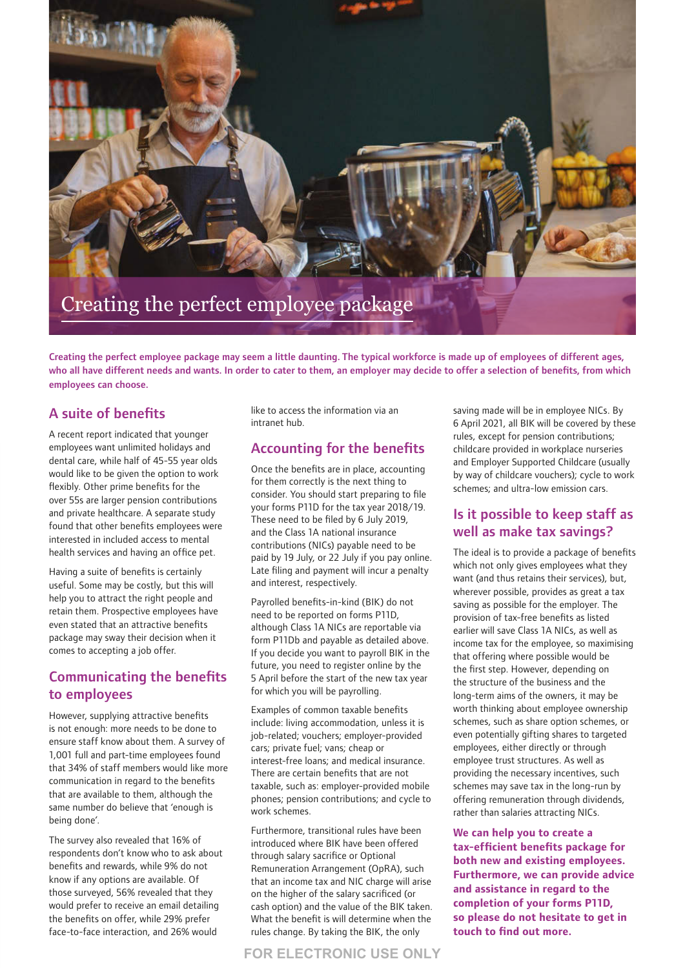

Creating the perfect employee package may seem a little daunting. The typical workforce is made up of employees of different ages, who all have different needs and wants. In order to cater to them, an employer may decide to offer a selection of benefits, from which employees can choose.

### A suite of benefits

A recent report indicated that younger employees want unlimited holidays and dental care, while half of 45-55 year olds would like to be given the option to work flexibly. Other prime benefits for the over 55s are larger pension contributions and private healthcare. A separate study found that other benefits employees were interested in included access to mental health services and having an office pet.

Having a suite of benefits is certainly useful. Some may be costly, but this will help you to attract the right people and retain them. Prospective employees have even stated that an attractive benefits package may sway their decision when it comes to accepting a job offer.

### Communicating the benefits to employees

However, supplying attractive benefits is not enough: more needs to be done to ensure staff know about them. A survey of 1,001 full and part-time employees found that 34% of staff members would like more communication in regard to the benefits that are available to them, although the same number do believe that 'enough is being done'.

The survey also revealed that 16% of respondents don't know who to ask about benefits and rewards, while 9% do not know if any options are available. Of those surveyed, 56% revealed that they would prefer to receive an email detailing the benefits on offer, while 29% prefer face-to-face interaction, and 26% would

like to access the information via an intranet hub.

### Accounting for the benefits

Once the benefits are in place, accounting for them correctly is the next thing to consider. You should start preparing to file your forms P11D for the tax year 2018/19. These need to be filed by 6 July 2019, and the Class 1A national insurance contributions (NICs) payable need to be paid by 19 July, or 22 July if you pay online. Late filing and payment will incur a penalty and interest, respectively.

Payrolled benefits-in-kind (BIK) do not need to be reported on forms P11D, although Class 1A NICs are reportable via form P11Db and payable as detailed above. If you decide you want to payroll BIK in the future, you need to register online by the 5 April before the start of the new tax year for which you will be payrolling.

Examples of common taxable benefits include: living accommodation, unless it is job-related; vouchers; employer-provided cars; private fuel; vans; cheap or interest-free loans; and medical insurance. There are certain benefits that are not taxable, such as: employer-provided mobile phones; pension contributions; and cycle to work schemes.

Furthermore, transitional rules have been introduced where BIK have been offered through salary sacrifice or Optional Remuneration Arrangement (OpRA), such that an income tax and NIC charge will arise on the higher of the salary sacrificed (or cash option) and the value of the BIK taken. What the benefit is will determine when the rules change. By taking the BIK, the only

saving made will be in employee NICs. By 6 April 2021, all BIK will be covered by these rules, except for pension contributions; childcare provided in workplace nurseries and Employer Supported Childcare (usually by way of childcare vouchers); cycle to work schemes; and ultra-low emission cars.

### Is it possible to keep staff as well as make tax savings?

The ideal is to provide a package of benefits which not only gives employees what they want (and thus retains their services), but, wherever possible, provides as great a tax saving as possible for the employer. The provision of tax-free benefits as listed earlier will save Class 1A NICs, as well as income tax for the employee, so maximising that offering where possible would be the first step. However, depending on the structure of the business and the long-term aims of the owners, it may be worth thinking about employee ownership schemes, such as share option schemes, or even potentially gifting shares to targeted employees, either directly or through employee trust structures. As well as providing the necessary incentives, such schemes may save tax in the long-run by offering remuneration through dividends, rather than salaries attracting NICs.

**We can help you to create a tax-efficient benefits package for both new and existing employees. Furthermore, we can provide advice and assistance in regard to the completion of your forms P11D, so please do not hesitate to get in touch to find out more.**